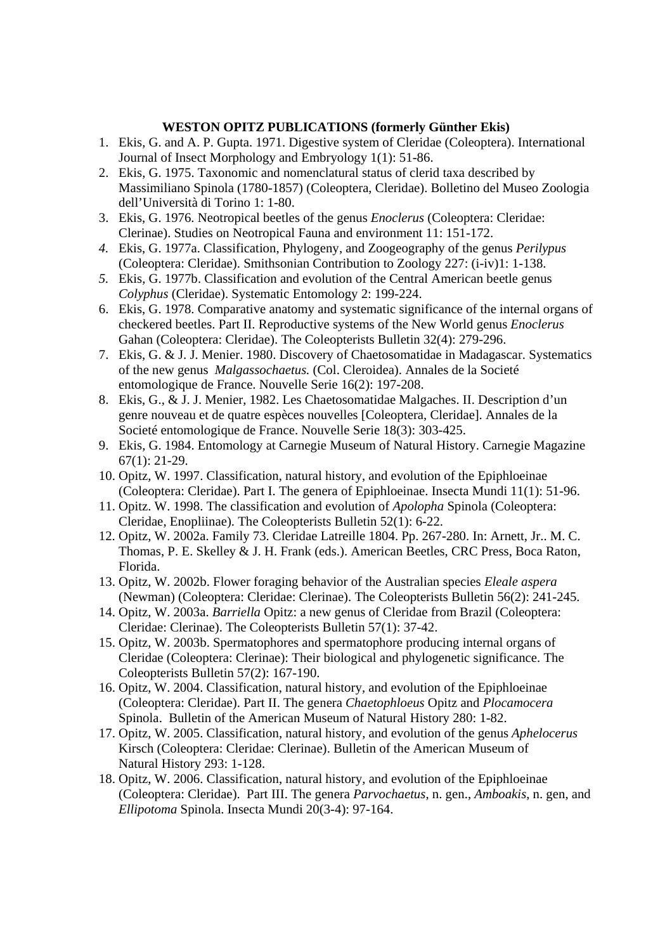## **WESTON OPITZ PUBLICATIONS (formerly Günther Ekis)**

- 1. Ekis, G. and A. P. Gupta. 1971. Digestive system of Cleridae (Coleoptera). International Journal of Insect Morphology and Embryology 1(1): 51-86.
- 2. Ekis, G. 1975. Taxonomic and nomenclatural status of clerid taxa described by Massimiliano Spinola (1780-1857) (Coleoptera, Cleridae). Bolletino del Museo Zoologia dell'Università di Torino 1: 1-80.
- 3. Ekis, G. 1976. Neotropical beetles of the genus *Enoclerus* (Coleoptera: Cleridae: Clerinae). Studies on Neotropical Fauna and environment 11: 151-172.
- *4.* Ekis, G. 1977a. Classification, Phylogeny, and Zoogeography of the genus *Perilypus*  (Coleoptera: Cleridae). Smithsonian Contribution to Zoology 227: (i-iv)1: 1-138.
- *5.* Ekis, G. 1977b. Classification and evolution of the Central American beetle genus *Colyphus* (Cleridae). Systematic Entomology 2: 199-224.
- 6. Ekis, G. 1978. Comparative anatomy and systematic significance of the internal organs of checkered beetles. Part II. Reproductive systems of the New World genus *Enoclerus*  Gahan (Coleoptera: Cleridae). The Coleopterists Bulletin 32(4): 279-296.
- 7. Ekis, G. & J. J. Menier. 1980. Discovery of Chaetosomatidae in Madagascar. Systematics of the new genus *Malgassochaetus.* (Col. Cleroidea). Annales de la Societé entomologique de France. Nouvelle Serie 16(2): 197-208.
- 8. Ekis, G., & J. J. Menier, 1982. Les Chaetosomatidae Malgaches. II. Description d'un genre nouveau et de quatre espèces nouvelles [Coleoptera, Cleridae]. Annales de la Societé entomologique de France. Nouvelle Serie 18(3): 303-425.
- 9. Ekis, G. 1984. Entomology at Carnegie Museum of Natural History. Carnegie Magazine 67(1): 21-29.
- 10. Opitz, W. 1997. Classification, natural history, and evolution of the Epiphloeinae (Coleoptera: Cleridae). Part I. The genera of Epiphloeinae. Insecta Mundi 11(1): 51-96.
- 11. Opitz. W. 1998. The classification and evolution of *Apolopha* Spinola (Coleoptera: Cleridae, Enopliinae). The Coleopterists Bulletin 52(1): 6-22.
- 12. Opitz, W. 2002a. Family 73. Cleridae Latreille 1804. Pp. 267-280. In: Arnett, Jr.. M. C. Thomas, P. E. Skelley & J. H. Frank (eds.). American Beetles, CRC Press, Boca Raton, Florida.
- 13. Opitz, W. 2002b. Flower foraging behavior of the Australian species *Eleale aspera*  (Newman) (Coleoptera: Cleridae: Clerinae). The Coleopterists Bulletin 56(2): 241-245.
- 14. Opitz, W. 2003a. *Barriella* Opitz: a new genus of Cleridae from Brazil (Coleoptera: Cleridae: Clerinae). The Coleopterists Bulletin 57(1): 37-42.
- 15. Opitz, W. 2003b. Spermatophores and spermatophore producing internal organs of Cleridae (Coleoptera: Clerinae): Their biological and phylogenetic significance. The Coleopterists Bulletin 57(2): 167-190.
- 16. Opitz, W. 2004. Classification, natural history, and evolution of the Epiphloeinae (Coleoptera: Cleridae). Part II. The genera *Chaetophloeus* Opitz and *Plocamocera* Spinola. Bulletin of the American Museum of Natural History 280: 1-82.
- 17. Opitz, W. 2005. Classification, natural history, and evolution of the genus *Aphelocerus* Kirsch (Coleoptera: Cleridae: Clerinae). Bulletin of the American Museum of Natural History 293: 1-128.
- 18. Opitz, W. 2006. Classification, natural history, and evolution of the Epiphloeinae (Coleoptera: Cleridae). Part III. The genera *Parvochaetus*, n. gen., *Amboakis*, n. gen, and *Ellipotoma* Spinola. Insecta Mundi 20(3-4): 97-164.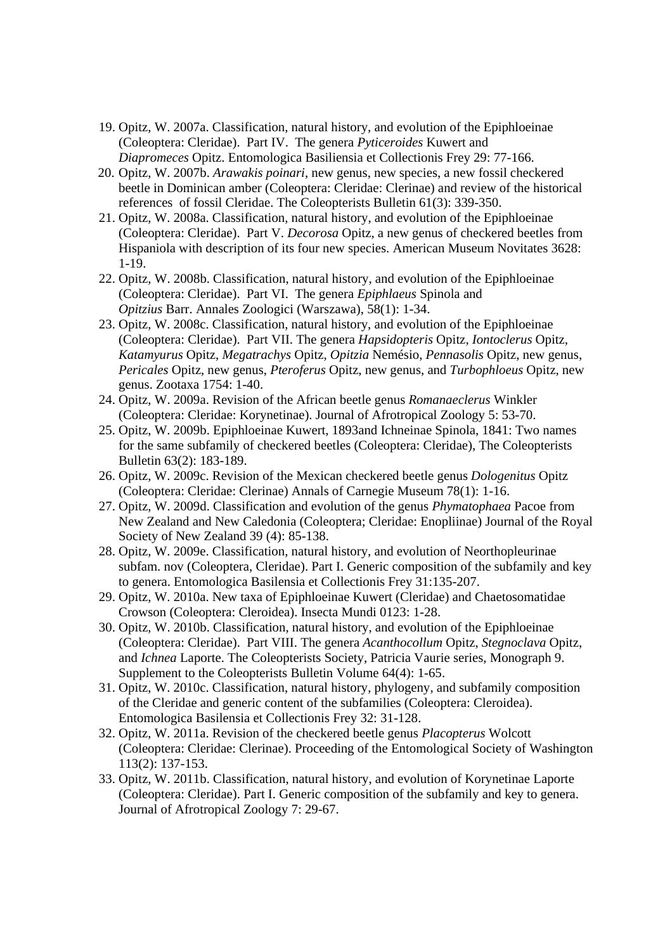- 19. Opitz, W. 2007a. Classification, natural history, and evolution of the Epiphloeinae (Coleoptera: Cleridae). Part IV. The genera *Pyticeroides* Kuwert and *Diapromeces* Opitz. Entomologica Basiliensia et Collectionis Frey 29: 77-166.
- 20. Opitz, W. 2007b. *Arawakis poinari*, new genus, new species, a new fossil checkered beetle in Dominican amber (Coleoptera: Cleridae: Clerinae) and review of the historical references of fossil Cleridae. The Coleopterists Bulletin 61(3): 339-350.
- 21. Opitz, W. 2008a. Classification, natural history, and evolution of the Epiphloeinae (Coleoptera: Cleridae). Part V. *Decorosa* Opitz, a new genus of checkered beetles from Hispaniola with description of its four new species. American Museum Novitates 3628: 1-19.
- 22. Opitz, W. 2008b. Classification, natural history, and evolution of the Epiphloeinae (Coleoptera: Cleridae). Part VI. The genera *Epiphlaeus* Spinola and *Opitzius* Barr. Annales Zoologici (Warszawa), 58(1): 1-34.
- 23. Opitz, W. 2008c. Classification, natural history, and evolution of the Epiphloeinae (Coleoptera: Cleridae). Part VII. The genera *Hapsidopteris* Opitz, *Iontoclerus* Opitz, *Katamyurus* Opitz, *Megatrachys* Opitz, *Opitzia* Nemésio, *Pennasolis* Opitz, new genus, *Pericales* Opitz, new genus, *Pteroferus* Opitz, new genus, and *Turbophloeus* Opitz, new genus. Zootaxa 1754: 1-40.
- 24. Opitz, W. 2009a. Revision of the African beetle genus *Romanaeclerus* Winkler (Coleoptera: Cleridae: Korynetinae). Journal of Afrotropical Zoology 5: 53-70.
- 25. Opitz, W. 2009b. Epiphloeinae Kuwert, 1893and Ichneinae Spinola, 1841: Two names for the same subfamily of checkered beetles (Coleoptera: Cleridae), The Coleopterists Bulletin 63(2): 183-189.
- 26. Opitz, W. 2009c. Revision of the Mexican checkered beetle genus *Dologenitus* Opitz (Coleoptera: Cleridae: Clerinae) Annals of Carnegie Museum 78(1): 1-16.
- 27. Opitz, W. 2009d. Classification and evolution of the genus *Phymatophaea* Pacoe from New Zealand and New Caledonia (Coleoptera; Cleridae: Enopliinae) Journal of the Royal Society of New Zealand 39 (4): 85-138.
- 28. Opitz, W. 2009e. Classification, natural history, and evolution of Neorthopleurinae subfam. nov (Coleoptera, Cleridae). Part I. Generic composition of the subfamily and key to genera. Entomologica Basilensia et Collectionis Frey 31:135-207.
- 29. Opitz, W. 2010a. New taxa of Epiphloeinae Kuwert (Cleridae) and Chaetosomatidae Crowson (Coleoptera: Cleroidea). Insecta Mundi 0123: 1-28.
- 30. Opitz, W. 2010b. Classification, natural history, and evolution of the Epiphloeinae (Coleoptera: Cleridae). Part VIII. The genera *Acanthocollum* Opitz, *Stegnoclava* Opitz, and *Ichnea* Laporte. The Coleopterists Society, Patricia Vaurie series, Monograph 9. Supplement to the Coleopterists Bulletin Volume 64(4): 1-65.
- 31. Opitz, W. 2010c. Classification, natural history, phylogeny, and subfamily composition of the Cleridae and generic content of the subfamilies (Coleoptera: Cleroidea). Entomologica Basilensia et Collectionis Frey 32: 31-128.
- 32. Opitz, W. 2011a. Revision of the checkered beetle genus *Placopterus* Wolcott (Coleoptera: Cleridae: Clerinae). Proceeding of the Entomological Society of Washington 113(2): 137-153.
- 33. Opitz, W. 2011b. Classification, natural history, and evolution of Korynetinae Laporte (Coleoptera: Cleridae). Part I. Generic composition of the subfamily and key to genera. Journal of Afrotropical Zoology 7: 29-67.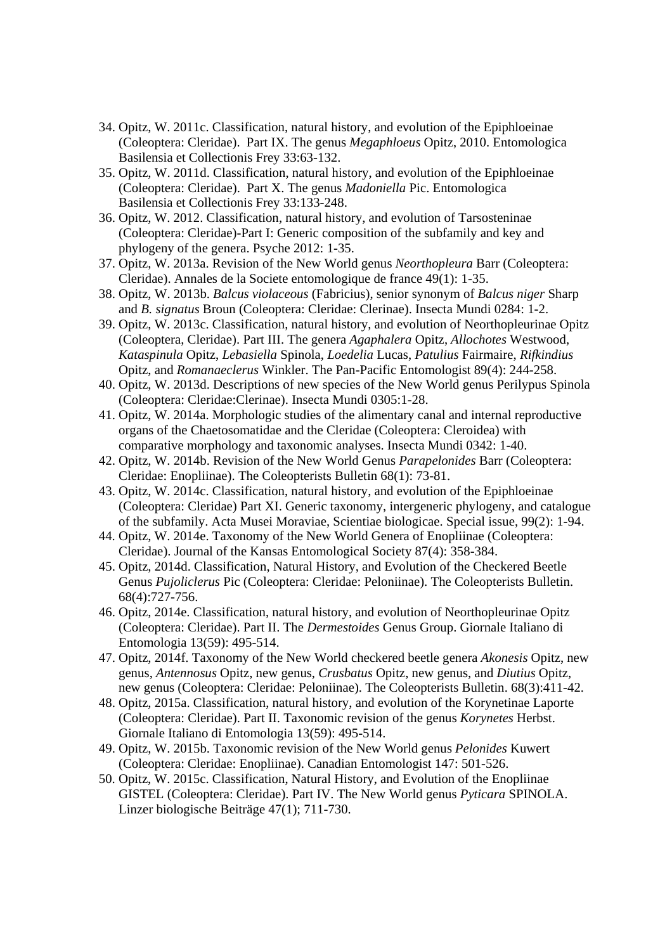- 34. Opitz, W. 2011c. Classification, natural history, and evolution of the Epiphloeinae (Coleoptera: Cleridae). Part IX. The genus *Megaphloeus* Opitz, 2010. Entomologica Basilensia et Collectionis Frey 33:63-132.
- 35. Opitz, W. 2011d. Classification, natural history, and evolution of the Epiphloeinae (Coleoptera: Cleridae). Part X. The genus *Madoniella* Pic. Entomologica Basilensia et Collectionis Frey 33:133-248.
- 36. Opitz, W. 2012. Classification, natural history, and evolution of Tarsosteninae (Coleoptera: Cleridae)-Part I: Generic composition of the subfamily and key and phylogeny of the genera. Psyche 2012: 1-35.
- 37. Opitz, W. 2013a. Revision of the New World genus *Neorthopleura* Barr (Coleoptera: Cleridae). Annales de la Societe entomologique de france 49(1): 1-35.
- 38. Opitz, W. 2013b. *Balcus violaceous* (Fabricius), senior synonym of *Balcus niger* Sharp and *B. signatus* Broun (Coleoptera: Cleridae: Clerinae). Insecta Mundi 0284: 1-2.
- 39. Opitz, W. 2013c. Classification, natural history, and evolution of Neorthopleurinae Opitz (Coleoptera, Cleridae). Part III. The genera *Agaphalera* Opitz, *Allochotes* Westwood, *Kataspinula* Opitz, *Lebasiella* Spinola, *Loedelia* Lucas, *Patulius* Fairmaire, *Rifkindius* Opitz, and *Romanaeclerus* Winkler. The Pan-Pacific Entomologist 89(4): 244-258.
- 40. Opitz, W. 2013d. Descriptions of new species of the New World genus Perilypus Spinola (Coleoptera: Cleridae:Clerinae). Insecta Mundi 0305:1-28.
- 41. Opitz, W. 2014a. Morphologic studies of the alimentary canal and internal reproductive organs of the Chaetosomatidae and the Cleridae (Coleoptera: Cleroidea) with comparative morphology and taxonomic analyses. Insecta Mundi 0342: 1-40.
- 42. Opitz, W. 2014b. Revision of the New World Genus *Parapelonides* Barr (Coleoptera: Cleridae: Enopliinae). The Coleopterists Bulletin 68(1): 73-81.
- 43. Opitz, W. 2014c. Classification, natural history, and evolution of the Epiphloeinae (Coleoptera: Cleridae) Part XI. Generic taxonomy, intergeneric phylogeny, and catalogue of the subfamily. Acta Musei Moraviae, Scientiae biologicae. Special issue, 99(2): 1-94.
- 44. Opitz, W. 2014e. Taxonomy of the New World Genera of Enopliinae (Coleoptera: Cleridae). Journal of the Kansas Entomological Society 87(4): 358-384.
- 45. Opitz, 2014d. Classification, Natural History, and Evolution of the Checkered Beetle Genus *Pujoliclerus* Pic (Coleoptera: Cleridae: Peloniinae). The Coleopterists Bulletin. 68(4):727-756.
- 46. Opitz, 2014e. Classification, natural history, and evolution of Neorthopleurinae Opitz (Coleoptera: Cleridae). Part II. The *Dermestoides* Genus Group. Giornale Italiano di Entomologia 13(59): 495-514.
- 47. Opitz, 2014f. Taxonomy of the New World checkered beetle genera *Akonesis* Opitz, new genus, *Antennosus* Opitz, new genus, *Crusbatus* Opitz, new genus, and *Diutius* Opitz, new genus (Coleoptera: Cleridae: Peloniinae). The Coleopterists Bulletin. 68(3):411-42.
- 48. Opitz, 2015a. Classification, natural history, and evolution of the Korynetinae Laporte (Coleoptera: Cleridae). Part II. Taxonomic revision of the genus *Korynetes* Herbst. Giornale Italiano di Entomologia 13(59): 495-514.
- 49. Opitz, W. 2015b. Taxonomic revision of the New World genus *Pelonides* Kuwert (Coleoptera: Cleridae: Enopliinae). Canadian Entomologist 147: 501-526.
- 50. Opitz, W. 2015c. Classification, Natural History, and Evolution of the Enopliinae GISTEL (Coleoptera: Cleridae). Part IV. The New World genus *Pyticara* SPINOLA. Linzer biologische Beiträge 47(1); 711-730.